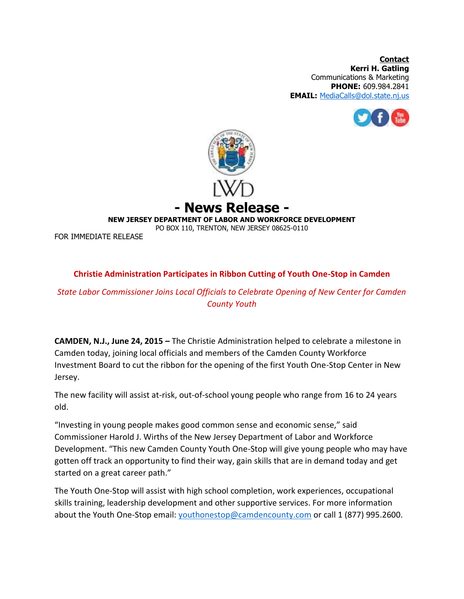**Contact Kerri H. Gatling** Communications & Marketing **PHONE:** 609.984.2841 **EMAIL:** [MediaCalls@dol.state.nj.us](mailto:MediaCalls@dol.state.nj.us)





**- News Release -**

**NEW JERSEY DEPARTMENT OF LABOR AND WORKFORCE DEVELOPMENT**

PO BOX 110, TRENTON, NEW JERSEY 08625-0110

FOR IMMEDIATE RELEASE

## **Christie Administration Participates in Ribbon Cutting of Youth One-Stop in Camden**

## *State Labor Commissioner Joins Local Officials to Celebrate Opening of New Center for Camden County Youth*

**CAMDEN, N.J., June 24, 2015 –** The Christie Administration helped to celebrate a milestone in Camden today, joining local officials and members of the Camden County Workforce Investment Board to cut the ribbon for the opening of the first Youth One-Stop Center in New Jersey.

The new facility will assist at-risk, out-of-school young people who range from 16 to 24 years old.

"Investing in young people makes good common sense and economic sense," said Commissioner Harold J. Wirths of the New Jersey Department of Labor and Workforce Development. "This new Camden County Youth One-Stop will give young people who may have gotten off track an opportunity to find their way, gain skills that are in demand today and get started on a great career path."

The Youth One-Stop will assist with high school completion, work experiences, occupational skills training, leadership development and other supportive services. For more information about the Youth One-Stop email: [youthonestop@camdencounty.com](mailto:youthonestop@camdencounty.com) or call 1 (877) 995.2600.